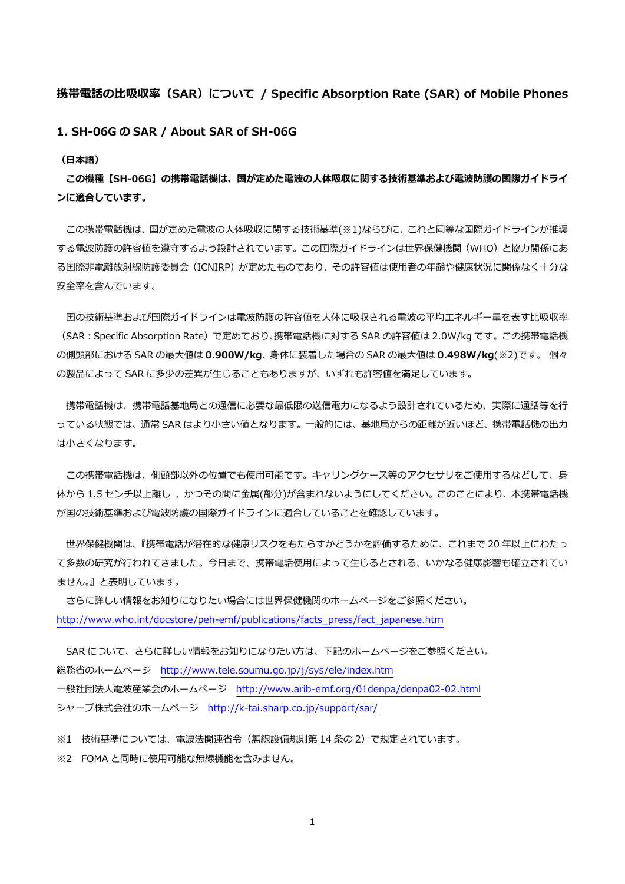## **携帯電話の⽐吸収率(SAR)について / Specific Absorption Rate (SAR) of Mobile Phones**

**1. SH-06G の SAR / About SAR of SH-06G** 

**(⽇本語)** 

**この機種【SH-06G】の携帯電話機は、国が定めた電波の⼈体吸収に関する技術基準および電波防護の国際ガイドライ ンに適合しています。** 

この携帯電話機は、国が定めた電波の人体吸収に関する技術基準(※1)ならびに、これと同等な国際ガイドラインが推奨 する電波防護の許容値を遵守するよう設計されています。この国際ガイドラインは世界保健機関(WHO)と協⼒関係にあ る国際非電離放射線防護委員会(ICNIRP)が定めたものであり、その許容値は使用者の年齢や健康状況に関係なく十分な 安全率を含んでいます。

国の技術基準および国際ガイドラインは電波防護の許容値を人体に吸収される電波の平均エネルギー量を表す比吸収率 (SAR:Specific Absorption Rate)で定めており、携帯電話機に対する SAR の許容値は 2.0W/kg です。この携帯電話機 の側頭部における SAR の最⼤値は **0.900W/kg**、⾝体に装着した場合の SAR の最⼤値は **0.498W/kg**(※2)です。 個々 の製品によって SAR に多少の差異が生じることもありますが、いずれも許容値を満足しています。

携帯電話機は、携帯電話基地局との通信に必要な最低限の送信電力になるよう設計されているため、実際に通話等を行 っている状態では、通常 SAR はより小さい値となります。一般的には、基地局からの距離が近いほど、携帯電話機の出力 は⼩さくなります。

この携帯電話機は、側頭部以外の位置でも使用可能です。キャリングケース等のアクセサリをご使用するなどして、身 体から 1.5 センチ以上離し、かつその間に金属(部分)が含まれないようにしてください。このことにより、本携帯電話機 が国の技術基準および電波防護の国際ガイドラインに適合していることを確認しています。

 世界保健機関は、『携帯電話が潜在的な健康リスクをもたらすかどうかを評価するために、これまで 20 年以上にわたっ て多数の研究が行われてきました。今日まで、携帯電話使用によって生じるとされる、いかなる健康影響も確立されてい ません。』と表明しています。

 さらに詳しい情報をお知りになりたい場合には世界保健機関のホームページをご参照ください。 http://www.who.int/docstore/peh-emf/publications/facts\_press/fact\_japanese.htm

SAR について、さらに詳しい情報をお知りになりたい方は、下記のホームページをご参照ください。 総務省のホームページ http://www.tele.soumu.go.jp/j/sys/ele/index.htm ⼀般社団法⼈電波産業会のホームページ http://www.arib-emf.org/01denpa/denpa02-02.html シャープ株式会社のホームページ http://k-tai.sharp.co.jp/support/sar/

※1 技術基準については、電波法関連省令(無線設備規則第 14 条の 2)で規定されています。 ※2 FOMA と同時に使用可能な無線機能を含みません。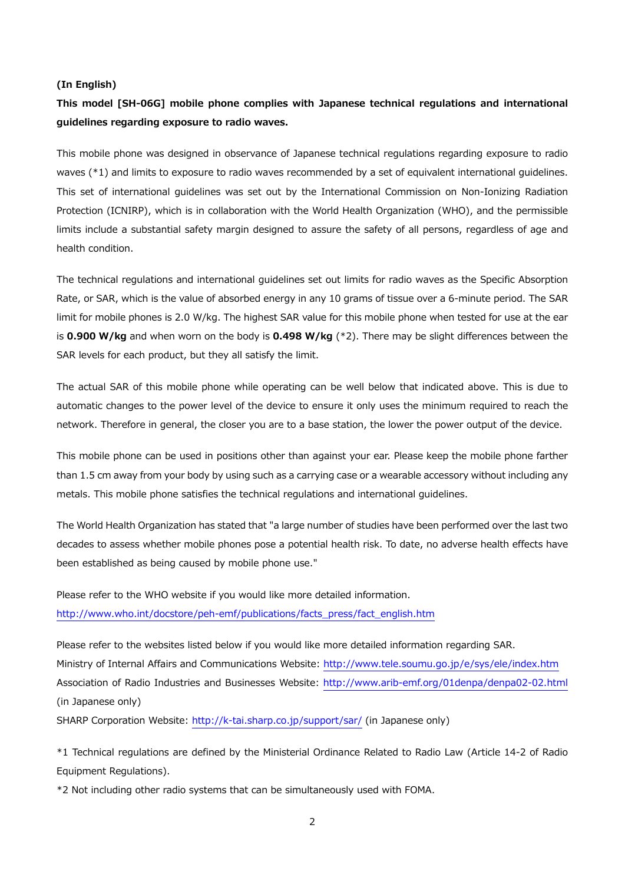#### **(In English)**

# **This model [SH-06G] mobile phone complies with Japanese technical regulations and international guidelines regarding exposure to radio waves.**

This mobile phone was designed in observance of Japanese technical regulations regarding exposure to radio waves (\*1) and limits to exposure to radio waves recommended by a set of equivalent international guidelines. This set of international guidelines was set out by the International Commission on Non-Ionizing Radiation Protection (ICNIRP), which is in collaboration with the World Health Organization (WHO), and the permissible limits include a substantial safety margin designed to assure the safety of all persons, regardless of age and health condition.

The technical regulations and international guidelines set out limits for radio waves as the Specific Absorption Rate, or SAR, which is the value of absorbed energy in any 10 grams of tissue over a 6-minute period. The SAR limit for mobile phones is 2.0 W/kg. The highest SAR value for this mobile phone when tested for use at the ear is **0.900 W/kg** and when worn on the body is **0.498 W/kg** (\*2). There may be slight differences between the SAR levels for each product, but they all satisfy the limit.

The actual SAR of this mobile phone while operating can be well below that indicated above. This is due to automatic changes to the power level of the device to ensure it only uses the minimum required to reach the network. Therefore in general, the closer you are to a base station, the lower the power output of the device.

This mobile phone can be used in positions other than against your ear. Please keep the mobile phone farther than 1.5 cm away from your body by using such as a carrying case or a wearable accessory without including any metals. This mobile phone satisfies the technical regulations and international guidelines.

The World Health Organization has stated that "a large number of studies have been performed over the last two decades to assess whether mobile phones pose a potential health risk. To date, no adverse health effects have been established as being caused by mobile phone use."

Please refer to the WHO website if you would like more detailed information. http://www.who.int/docstore/peh-emf/publications/facts\_press/fact\_english.htm

Please refer to the websites listed below if you would like more detailed information regarding SAR. Ministry of Internal Affairs and Communications Website: http://www.tele.soumu.go.jp/e/sys/ele/index.htm Association of Radio Industries and Businesses Website: http://www.arib-emf.org/01denpa/denpa02-02.html (in Japanese only)

SHARP Corporation Website: http://k-tai.sharp.co.jp/support/sar/ (in Japanese only)

\*1 Technical regulations are defined by the Ministerial Ordinance Related to Radio Law (Article 14-2 of Radio Equipment Regulations).

\*2 Not including other radio systems that can be simultaneously used with FOMA.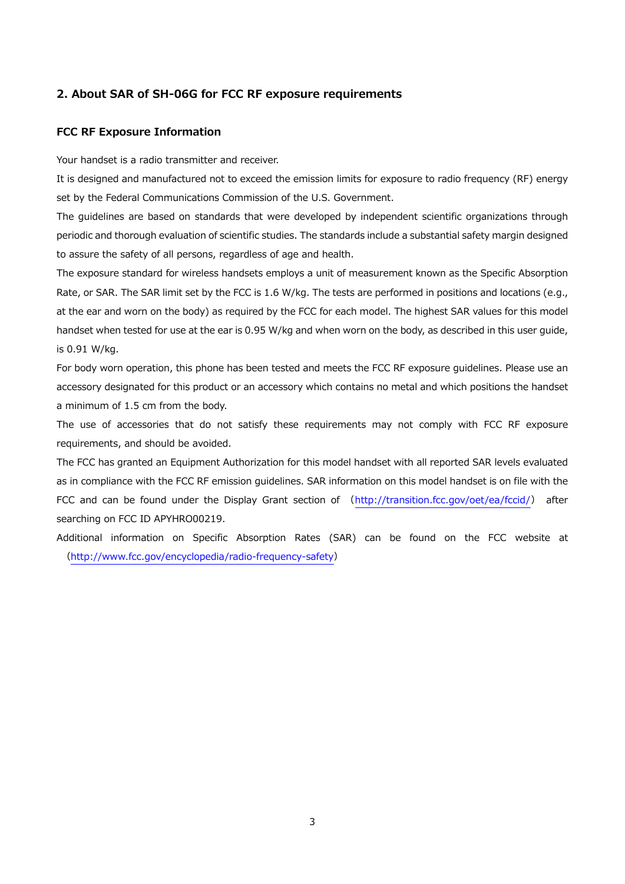## **2. About SAR of SH-06G for FCC RF exposure requirements**

#### **FCC RF Exposure Information**

Your handset is a radio transmitter and receiver.

It is designed and manufactured not to exceed the emission limits for exposure to radio frequency (RF) energy set by the Federal Communications Commission of the U.S. Government.

The guidelines are based on standards that were developed by independent scientific organizations through periodic and thorough evaluation of scientific studies. The standards include a substantial safety margin designed to assure the safety of all persons, regardless of age and health.

The exposure standard for wireless handsets employs a unit of measurement known as the Specific Absorption Rate, or SAR. The SAR limit set by the FCC is 1.6 W/kg. The tests are performed in positions and locations (e.g., at the ear and worn on the body) as required by the FCC for each model. The highest SAR values for this model handset when tested for use at the ear is 0.95 W/kg and when worn on the body, as described in this user guide, is 0.91 W/kg.

For body worn operation, this phone has been tested and meets the FCC RF exposure guidelines. Please use an accessory designated for this product or an accessory which contains no metal and which positions the handset a minimum of 1.5 cm from the body.

The use of accessories that do not satisfy these requirements may not comply with FCC RF exposure requirements, and should be avoided.

The FCC has granted an Equipment Authorization for this model handset with all reported SAR levels evaluated as in compliance with the FCC RF emission guidelines. SAR information on this model handset is on file with the FCC and can be found under the Display Grant section of (http://transition.fcc.gov/oet/ea/fccid/) after searching on FCC ID APYHRO00219.

Additional information on Specific Absorption Rates (SAR) can be found on the FCC website at (http://www.fcc.gov/encyclopedia/radio-frequency-safety)